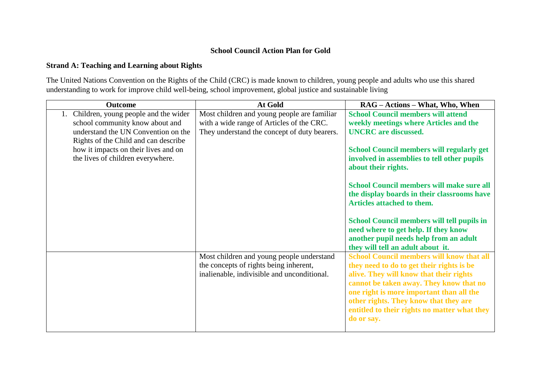## **School Council Action Plan for Gold**

## **Strand A: Teaching and Learning about Rights**

The United Nations Convention on the Rights of the Child (CRC) is made known to children, young people and adults who use this shared understanding to work for improve child well-being, school improvement, global justice and sustainable living

| Outcome                              | At Gold                                      | RAG – Actions – What, Who, When                   |
|--------------------------------------|----------------------------------------------|---------------------------------------------------|
| Children, young people and the wider | Most children and young people are familiar  | <b>School Council members will attend</b>         |
| school community know about and      | with a wide range of Articles of the CRC.    | weekly meetings where Articles and the            |
| understand the UN Convention on the  | They understand the concept of duty bearers. | <b>UNCRC</b> are discussed.                       |
| Rights of the Child and can describe |                                              |                                                   |
| how it impacts on their lives and on |                                              | <b>School Council members will regularly get</b>  |
| the lives of children everywhere.    |                                              | involved in assemblies to tell other pupils       |
|                                      |                                              | about their rights.                               |
|                                      |                                              |                                                   |
|                                      |                                              | <b>School Council members will make sure all</b>  |
|                                      |                                              | the display boards in their classrooms have       |
|                                      |                                              | <b>Articles attached to them.</b>                 |
|                                      |                                              |                                                   |
|                                      |                                              | <b>School Council members will tell pupils in</b> |
|                                      |                                              | need where to get help. If they know              |
|                                      |                                              | another pupil needs help from an adult            |
|                                      |                                              | they will tell an adult about it.                 |
|                                      | Most children and young people understand    | <b>School Council members will know that all</b>  |
|                                      | the concepts of rights being inherent,       | they need to do to get their rights is be         |
|                                      | inalienable, indivisible and unconditional.  | alive. They will know that their rights           |
|                                      |                                              | cannot be taken away. They know that no           |
|                                      |                                              | one right is more important than all the          |
|                                      |                                              | other rights. They know that they are             |
|                                      |                                              | entitled to their rights no matter what they      |
|                                      |                                              | do or say.                                        |
|                                      |                                              |                                                   |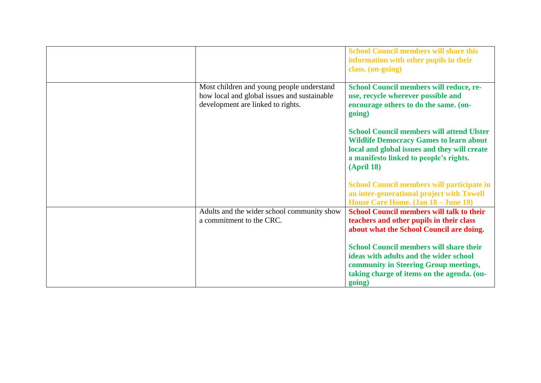|                                                                                                                               | <b>School Council members will share this</b><br>information with other pupils in their<br>class. (on-going)                                                                                                      |
|-------------------------------------------------------------------------------------------------------------------------------|-------------------------------------------------------------------------------------------------------------------------------------------------------------------------------------------------------------------|
| Most children and young people understand<br>how local and global issues and sustainable<br>development are linked to rights. | School Council members will reduce, re-<br>use, recycle wherever possible and<br>encourage others to do the same. (on-<br>going)                                                                                  |
|                                                                                                                               | <b>School Council members will attend Ulster</b><br><b>Wildlife Democracy Games to learn about</b><br>local and global issues and they will create<br>a manifesto linked to people's rights.<br><b>(April 18)</b> |
|                                                                                                                               | <b>School Council members will participate in</b><br>an inter-generational project with Towell<br>House Care Home. (Jan 18 – June 19)                                                                             |
| Adults and the wider school community show<br>a commitment to the CRC.                                                        | <b>School Council members will talk to their</b><br>teachers and other pupils in their class<br>about what the School Council are doing.                                                                          |
|                                                                                                                               | <b>School Council members will share their</b><br>ideas with adults and the wider school<br>community in Steering Group meetings,<br>taking charge of items on the agenda. (on-<br>going)                         |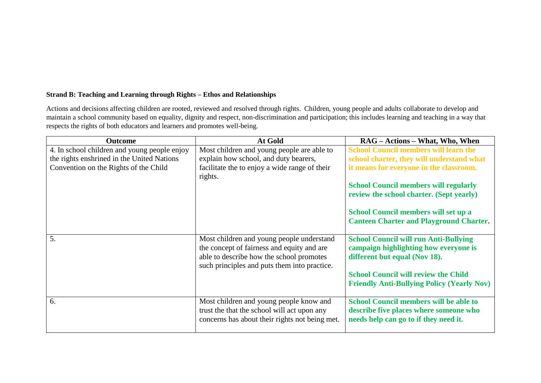## **Strand B: Teaching and Learning through Rights – Ethos and Relationships**

Actions and decisions affecting children are rooted, reviewed and resolved through rights. Children, young people and adults collaborate to develop and maintain a school community based on equality, dignity and respect, non-discrimination and participation; this includes learning and teaching in a way that respects the rights of both educators and learners and promotes well-being.

| <b>Outcome</b>                               | At Gold                                                                                  | RAG – Actions – What, Who, When                   |
|----------------------------------------------|------------------------------------------------------------------------------------------|---------------------------------------------------|
| 4. In school children and young people enjoy | Most children and young people are able to                                               | <b>School Council members will learn the</b>      |
| the rights enshrined in the United Nations   | explain how school, and duty bearers,                                                    | school charter, they will understand what         |
| Convention on the Rights of the Child        | facilitate the to enjoy a wide range of their<br>rights.                                 | it means for everyone in the classroom.           |
|                                              |                                                                                          | <b>School Council members will regularly</b>      |
|                                              |                                                                                          | review the school charter. (Sept yearly)          |
|                                              |                                                                                          | School Council members will set up a              |
|                                              |                                                                                          | <b>Canteen Charter and Playground Charter.</b>    |
| 5.                                           | Most children and young people understand                                                | <b>School Council will run Anti-Bullying</b>      |
|                                              | the concept of fairness and equity and are                                               | campaign highlighting how everyone is             |
|                                              | able to describe how the school promotes<br>such principles and puts them into practice. | different but equal (Nov 18).                     |
|                                              |                                                                                          | <b>School Council will review the Child</b>       |
|                                              |                                                                                          | <b>Friendly Anti-Bullying Policy (Yearly Nov)</b> |
| 6.                                           | Most children and young people know and                                                  | <b>School Council members will be able to</b>     |
|                                              | trust the that the school will act upon any                                              | describe five places where someone who            |
|                                              | concerns has about their rights not being met.                                           | needs help can go to if they need it.             |
|                                              |                                                                                          |                                                   |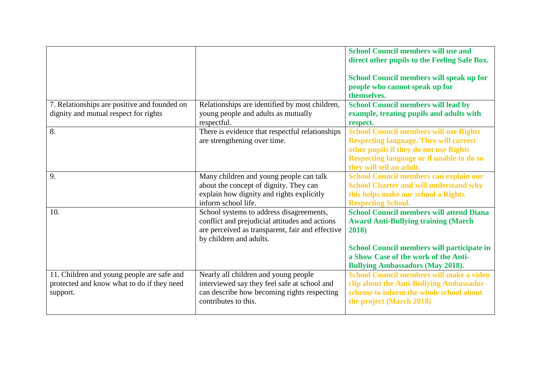|                                                                                                      |                                                                                                                                                                           | <b>School Council members will use and</b><br>direct other pupils to the Feeling Safe Box.                                                                                                                                                     |
|------------------------------------------------------------------------------------------------------|---------------------------------------------------------------------------------------------------------------------------------------------------------------------------|------------------------------------------------------------------------------------------------------------------------------------------------------------------------------------------------------------------------------------------------|
|                                                                                                      |                                                                                                                                                                           | School Council members will speak up for<br>people who cannot speak up for<br>themselves.                                                                                                                                                      |
| 7. Relationships are positive and founded on                                                         | Relationships are identified by most children,                                                                                                                            | <b>School Council members will lead by</b>                                                                                                                                                                                                     |
| dignity and mutual respect for rights                                                                | young people and adults as mutually<br>respectful.                                                                                                                        | example, treating pupils and adults with<br>respect.                                                                                                                                                                                           |
| 8.                                                                                                   | There is evidence that respectful relationships<br>are strengthening over time.                                                                                           | <b>School Council members will use Rights</b><br><b>Respecting language. They will correct</b><br>other pupils if they do not use Rights<br>Respecting language or if unable to do so<br>they will tell an adult.                              |
| 9.                                                                                                   | Many children and young people can talk<br>about the concept of dignity. They can<br>explain how dignity and rights explicitly<br>inform school life.                     | School Council members can explain our<br><b>School Charter and will understand why</b><br>this helps make our school a Rights<br><b>Respecting School.</b>                                                                                    |
| 10.                                                                                                  | School systems to address disagreements,<br>conflict and prejudicial attitudes and actions<br>are perceived as transparent, fair and effective<br>by children and adults. | <b>School Council members will attend Diana</b><br><b>Award Anti-Bullying training (March</b><br>2018)<br><b>School Council members will participate in</b><br>a Show Case of the work of the Anti-<br><b>Bullying Ambassadors (May 2018).</b> |
| 11. Children and young people are safe and<br>protected and know what to do if they need<br>support. | Nearly all children and young people<br>interviewed say they feel safe at school and<br>can describe how becoming rights respecting<br>contributes to this.               | <b>School Council members will make a video</b><br>clip about the Anti-Bullying Ambassador<br>scheme to inform the whole school about<br>the project (March 2018)                                                                              |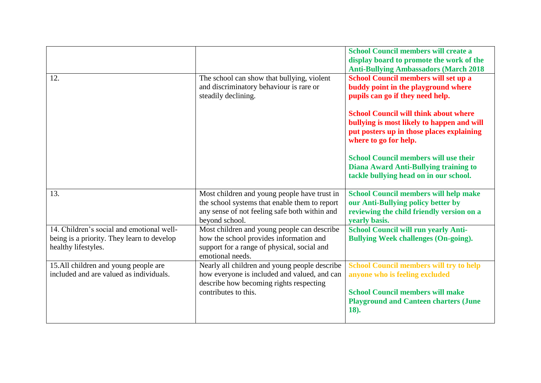|                                                                                                                |                                                                                                                                                                  | <b>School Council members will create a</b><br>display board to promote the work of the<br><b>Anti-Bullying Ambassadors (March 2018</b>                                             |
|----------------------------------------------------------------------------------------------------------------|------------------------------------------------------------------------------------------------------------------------------------------------------------------|-------------------------------------------------------------------------------------------------------------------------------------------------------------------------------------|
| 12.                                                                                                            | The school can show that bullying, violent<br>and discriminatory behaviour is rare or<br>steadily declining.                                                     | School Council members will set up a<br>buddy point in the playground where<br>pupils can go if they need help.                                                                     |
|                                                                                                                |                                                                                                                                                                  | <b>School Council will think about where</b><br>bullying is most likely to happen and will<br>put posters up in those places explaining<br>where to go for help.                    |
|                                                                                                                |                                                                                                                                                                  | <b>School Council members will use their</b><br><b>Diana Award Anti-Bullying training to</b><br>tackle bullying head on in our school.                                              |
| 13.                                                                                                            | Most children and young people have trust in<br>the school systems that enable them to report<br>any sense of not feeling safe both within and<br>beyond school. | <b>School Council members will help make</b><br>our Anti-Bullying policy better by<br>reviewing the child friendly version on a<br>vearly basis.                                    |
| 14. Children's social and emotional well-<br>being is a priority. They learn to develop<br>healthy lifestyles. | Most children and young people can describe<br>how the school provides information and<br>support for a range of physical, social and<br>emotional needs.        | <b>School Council will run yearly Anti-</b><br><b>Bullying Week challenges (On-going).</b>                                                                                          |
| 15.All children and young people are<br>included and are valued as individuals.                                | Nearly all children and young people describe<br>how everyone is included and valued, and can<br>describe how becoming rights respecting<br>contributes to this. | <b>School Council members will try to help</b><br>anyone who is feeling excluded<br><b>School Council members will make</b><br><b>Playground and Canteen charters (June</b><br>18). |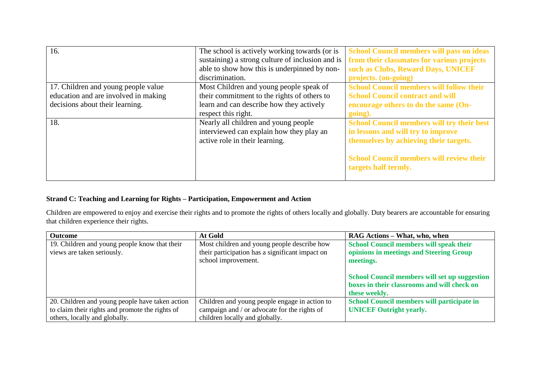| 16.                                  | The school is actively working towards (or is    | <b>School Council members will pass on ideas</b>  |
|--------------------------------------|--------------------------------------------------|---------------------------------------------------|
|                                      | sustaining) a strong culture of inclusion and is | from their classmates for various projects        |
|                                      | able to show how this is underpinned by non-     | such as Clubs, Reward Days, UNICEF                |
|                                      | discrimination.                                  | projects. (on-going)                              |
| 17. Children and young people value  | Most Children and young people speak of          | <b>School Council members will follow their</b>   |
| education and are involved in making | their commitment to the rights of others to      | <b>School Council contract and will</b>           |
| decisions about their learning.      | learn and can describe how they actively         | encourage others to do the same (On-              |
|                                      | respect this right.                              | going).                                           |
| 18.                                  | Nearly all children and young people             | <b>School Council members will try their best</b> |
|                                      | interviewed can explain how they play an         | in lessons and will try to improve                |
|                                      | active role in their learning.                   | themselves by achieving their targets.            |
|                                      |                                                  |                                                   |
|                                      |                                                  | <b>School Council members will review their</b>   |
|                                      |                                                  | targets half termly.                              |
|                                      |                                                  |                                                   |

## **Strand C: Teaching and Learning for Rights – Participation, Empowerment and Action**

Children are empowered to enjoy and exercise their rights and to promote the rights of others locally and globally. Duty bearers are accountable for ensuring that children experience their rights.

| <b>Outcome</b>                                  | At Gold                                         | RAG Actions – What, who, when                        |
|-------------------------------------------------|-------------------------------------------------|------------------------------------------------------|
| 19. Children and young people know that their   | Most children and young people describe how     | <b>School Council members will speak their</b>       |
| views are taken seriously.                      | their participation has a significant impact on | opinions in meetings and Steering Group              |
|                                                 | school improvement.                             | meetings.                                            |
|                                                 |                                                 |                                                      |
|                                                 |                                                 | <b>School Council members will set up suggestion</b> |
|                                                 |                                                 | boxes in their classrooms and will check on          |
|                                                 |                                                 | these weekly.                                        |
| 20. Children and young people have taken action | Children and young people engage in action to   | School Council members will participate in           |
| to claim their rights and promote the rights of | campaign and / or advocate for the rights of    | <b>UNICEF</b> Outright yearly.                       |
| others, locally and globally.                   | children locally and globally.                  |                                                      |